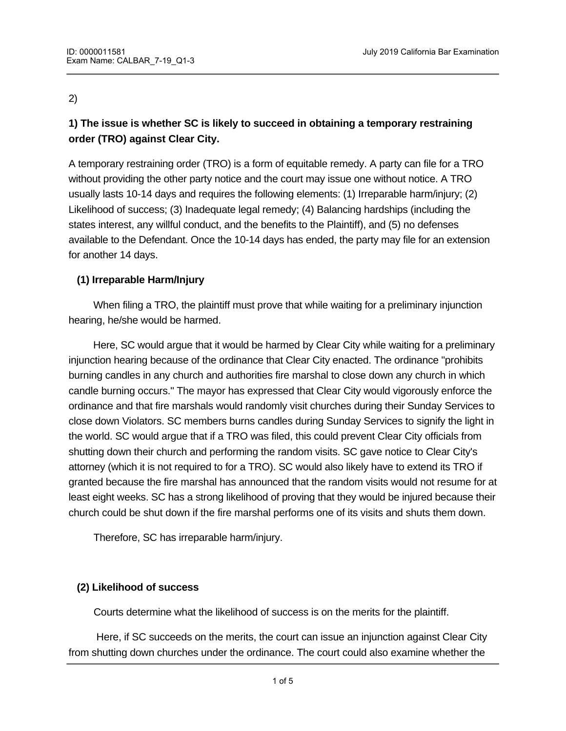### 2)

# **1) The issue is whether SC is likely to succeed in obtaining a temporary restraining order (TRO) against Clear City.**

A temporary restraining order (TRO) is a form of equitable remedy. A party can file for a TRO without providing the other party notice and the court may issue one without notice. A TRO usually lasts 10-14 days and requires the following elements: (1) Irreparable harm/injury; (2) Likelihood of success; (3) Inadequate legal remedy; (4) Balancing hardships (including the states interest, any willful conduct, and the benefits to the Plaintiff), and (5) no defenses available to the Defendant. Once the 10-14 days has ended, the party may file for an extension for another 14 days.

## **(1) Irreparable Harm/Injury**

 When filing a TRO, the plaintiff must prove that while waiting for a preliminary injunction hearing, he/she would be harmed.

 Here, SC would argue that it would be harmed by Clear City while waiting for a preliminary injunction hearing because of the ordinance that Clear City enacted. The ordinance "prohibits burning candles in any church and authorities fire marshal to close down any church in which candle burning occurs." The mayor has expressed that Clear City would vigorously enforce the ordinance and that fire marshals would randomly visit churches during their Sunday Services to close down Violators. SC members burns candles during Sunday Services to signify the light in the world. SC would argue that if a TRO was filed, this could prevent Clear City officials from shutting down their church and performing the random visits. SC gave notice to Clear City's attorney (which it is not required to for a TRO). SC would also likely have to extend its TRO if granted because the fire marshal has announced that the random visits would not resume for at least eight weeks. SC has a strong likelihood of proving that they would be injured because their church could be shut down if the fire marshal performs one of its visits and shuts them down.

Therefore, SC has irreparable harm/injury.

## **(2) Likelihood of success**

Courts determine what the likelihood of success is on the merits for the plaintiff.

statute is constitutional as well (see discussion below under Freedom of Religion).

 Here, if SC succeeds on the merits, the court can issue an injunction against Clear City from shutting down churches under the ordinance. The court could also examine whether the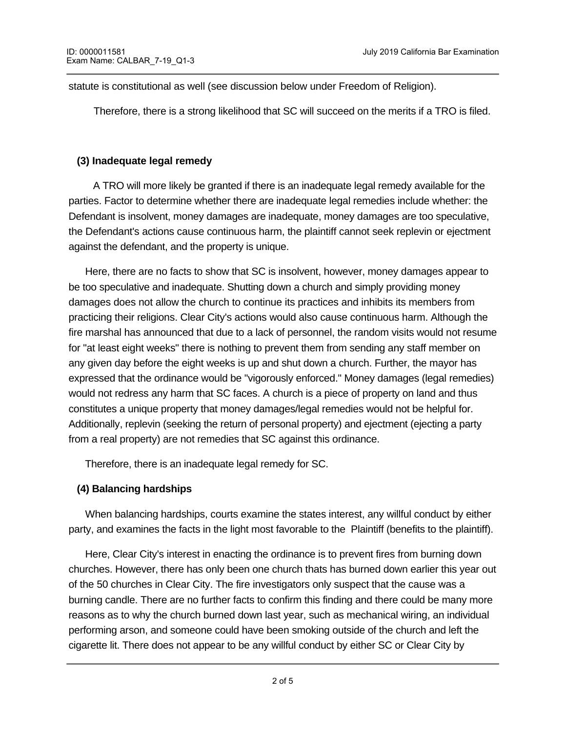statute is constitutional as well (see discussion below under Freedom of Religion).

Therefore, there is a strong likelihood that SC will succeed on the merits if a TRO is filed.

#### **(3) Inadequate legal remedy**

 A TRO will more likely be granted if there is an inadequate legal remedy available for the parties. Factor to determine whether there are inadequate legal remedies include whether: the Defendant is insolvent, money damages are inadequate, money damages are too speculative, the Defendant's actions cause continuous harm, the plaintiff cannot seek replevin or ejectment against the defendant, and the property is unique.

 Here, there are no facts to show that SC is insolvent, however, money damages appear to be too speculative and inadequate. Shutting down a church and simply providing money damages does not allow the church to continue its practices and inhibits its members from practicing their religions. Clear City's actions would also cause continuous harm. Although the fire marshal has announced that due to a lack of personnel, the random visits would not resume for "at least eight weeks" there is nothing to prevent them from sending any staff member on any given day before the eight weeks is up and shut down a church. Further, the mayor has expressed that the ordinance would be "vigorously enforced." Money damages (legal remedies) would not redress any harm that SC faces. A church is a piece of property on land and thus constitutes a unique property that money damages/legal remedies would not be helpful for. Additionally, replevin (seeking the return of personal property) and ejectment (ejecting a party from a real property) are not remedies that SC against this ordinance.

Therefore, there is an inadequate legal remedy for SC.

#### **(4) Balancing hardships**

 When balancing hardships, courts examine the states interest, any willful conduct by either party, and examines the facts in the light most favorable to the Plaintiff (benefits to the plaintiff).

 Here, Clear City's interest in enacting the ordinance is to prevent fires from burning down churches. However, there has only been one church thats has burned down earlier this year out of the 50 churches in Clear City. The fire investigators only suspect that the cause was a burning candle. There are no further facts to confirm this finding and there could be many more reasons as to why the church burned down last year, such as mechanical wiring, an individual performing arson, and someone could have been smoking outside of the church and left the cigarette lit. There does not appear to be any willful conduct by either SC or Clear City by

enacting the ordinance, nor does there appear to be any willful conduct by the fire marshals.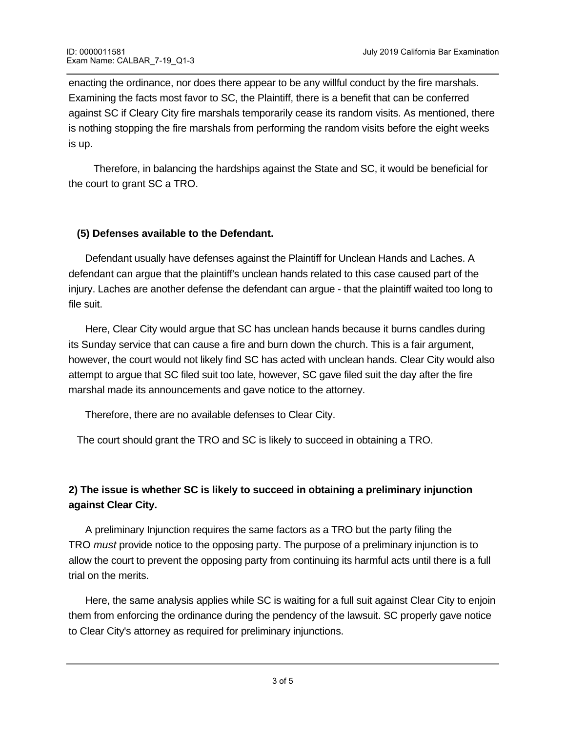enacting the ordinance, nor does there appear to be any willful conduct by the fire marshals. Examining the facts most favor to SC, the Plaintiff, there is a benefit that can be conferred against SC if Cleary City fire marshals temporarily cease its random visits. As mentioned, there is nothing stopping the fire marshals from performing the random visits before the eight weeks is up.

Therefore, in balancing the hardships against the State and SC, it would be beneficial for the court to grant SC a TRO.

#### **(5) Defenses available to the Defendant.**

 Defendant usually have defenses against the Plaintiff for Unclean Hands and Laches. A defendant can argue that the plaintiff's unclean hands related to this case caused part of the injury. Laches are another defense the defendant can argue - that the plaintiff waited too long to file suit.

 Here, Clear City would argue that SC has unclean hands because it burns candles during its Sunday service that can cause a fire and burn down the church. This is a fair argument, however, the court would not likely find SC has acted with unclean hands. Clear City would also attempt to argue that SC filed suit too late, however, SC gave filed suit the day after the fire marshal made its announcements and gave notice to the attorney.

Therefore, there are no available defenses to Clear City.

The court should grant the TRO and SC is likely to succeed in obtaining a TRO.

## **2) The issue is whether SC is likely to succeed in obtaining a preliminary injunction against Clear City.**

A preliminary Injunction requires the same factors as a TRO but the party filing the TRO *must* provide notice to the opposing party. The purpose of a preliminary injunction is to allow the court to prevent the opposing party from continuing its harmful acts until there is a full trial on the merits.

 Here, the same analysis applies while SC is waiting for a full suit against Clear City to enjoin them from enforcing the ordinance during the pendency of the lawsuit. SC properly gave notice to Clear City's attorney as required for preliminary injunctions.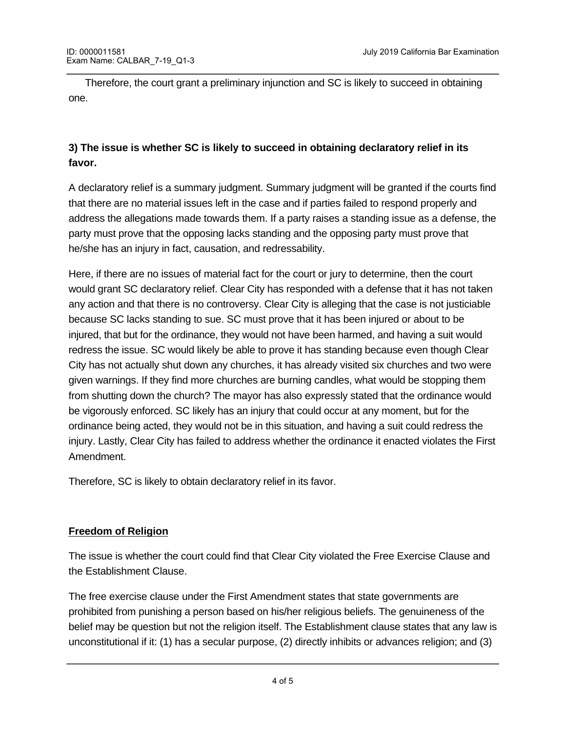Therefore, the court grant a preliminary injunction and SC is likely to succeed in obtaining one.

## **3) The issue is whether SC is likely to succeed in obtaining declaratory relief in its favor.**

A declaratory relief is a summary judgment. Summary judgment will be granted if the courts find that there are no material issues left in the case and if parties failed to respond properly and address the allegations made towards them. If a party raises a standing issue as a defense, the party must prove that the opposing lacks standing and the opposing party must prove that he/she has an injury in fact, causation, and redressability.

Here, if there are no issues of material fact for the court or jury to determine, then the court would grant SC declaratory relief. Clear City has responded with a defense that it has not taken any action and that there is no controversy. Clear City is alleging that the case is not justiciable because SC lacks standing to sue. SC must prove that it has been injured or about to be injured, that but for the ordinance, they would not have been harmed, and having a suit would redress the issue. SC would likely be able to prove it has standing because even though Clear City has not actually shut down any churches, it has already visited six churches and two were given warnings. If they find more churches are burning candles, what would be stopping them from shutting down the church? The mayor has also expressly stated that the ordinance would be vigorously enforced. SC likely has an injury that could occur at any moment, but for the ordinance being acted, they would not be in this situation, and having a suit could redress the injury. Lastly, Clear City has failed to address whether the ordinance it enacted violates the First Amendment.

Therefore, SC is likely to obtain declaratory relief in its favor.

#### **Freedom of Religion**

The issue is whether the court could find that Clear City violated the Free Exercise Clause and the Establishment Clause.

The free exercise clause under the First Amendment states that state governments are prohibited from punishing a person based on his/her religious beliefs. The genuineness of the belief may be question but not the religion itself. The Establishment clause states that any law is unconstitutional if it: (1) has a secular purpose, (2) directly inhibits or advances religion; and (3)